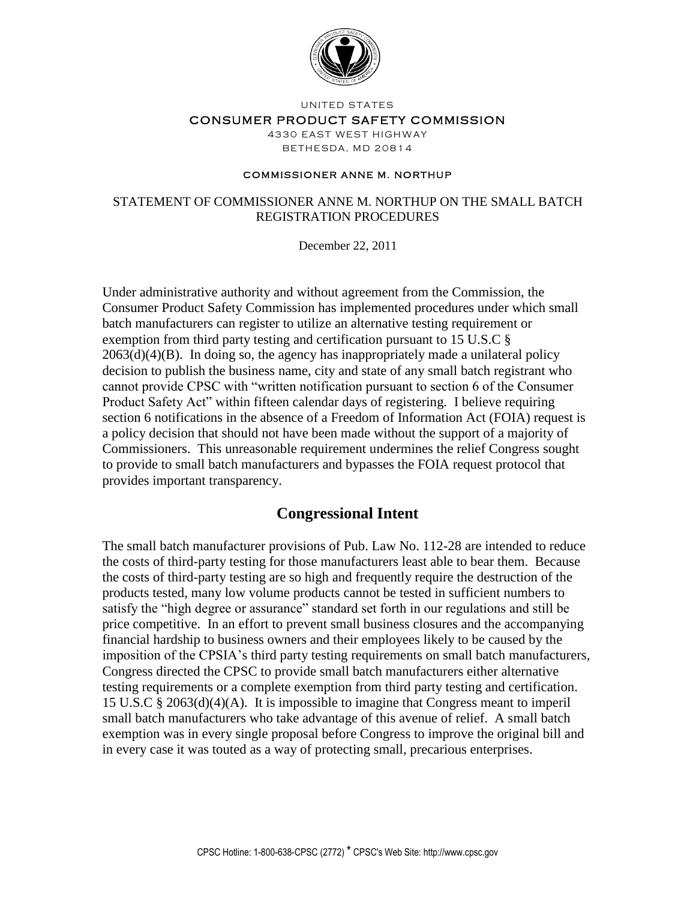

UNITED STATES

#### CONSUMER PRODUCT SAFETY COMMISSION

4330 EAST WEST HIGHWAY **BETHESDA, MD 20814** 

#### **COMMISSIONER ANNE M. NORTHUP**

#### STATEMENT OF COMMISSIONER ANNE M. NORTHUP ON THE SMALL BATCH REGISTRATION PROCEDURES

December 22, 2011

Under administrative authority and without agreement from the Commission, the Consumer Product Safety Commission has implemented procedures under which small batch manufacturers can register to utilize an alternative testing requirement or exemption from third party testing and certification pursuant to 15 U.S.C §  $2063(d)(4)(B)$ . In doing so, the agency has inappropriately made a unilateral policy decision to publish the business name, city and state of any small batch registrant who cannot provide CPSC with "written notification pursuant to section 6 of the Consumer Product Safety Act" within fifteen calendar days of registering. I believe requiring section 6 notifications in the absence of a Freedom of Information Act (FOIA) request is a policy decision that should not have been made without the support of a majority of Commissioners. This unreasonable requirement undermines the relief Congress sought to provide to small batch manufacturers and bypasses the FOIA request protocol that provides important transparency.

### **Congressional Intent**

The small batch manufacturer provisions of Pub. Law No. 112-28 are intended to reduce the costs of third-party testing for those manufacturers least able to bear them. Because the costs of third-party testing are so high and frequently require the destruction of the products tested, many low volume products cannot be tested in sufficient numbers to satisfy the "high degree or assurance" standard set forth in our regulations and still be price competitive. In an effort to prevent small business closures and the accompanying financial hardship to business owners and their employees likely to be caused by the imposition of the CPSIA's third party testing requirements on small batch manufacturers, Congress directed the CPSC to provide small batch manufacturers either alternative testing requirements or a complete exemption from third party testing and certification. 15 U.S.C § 2063(d)(4)(A). It is impossible to imagine that Congress meant to imperil small batch manufacturers who take advantage of this avenue of relief. A small batch exemption was in every single proposal before Congress to improve the original bill and in every case it was touted as a way of protecting small, precarious enterprises.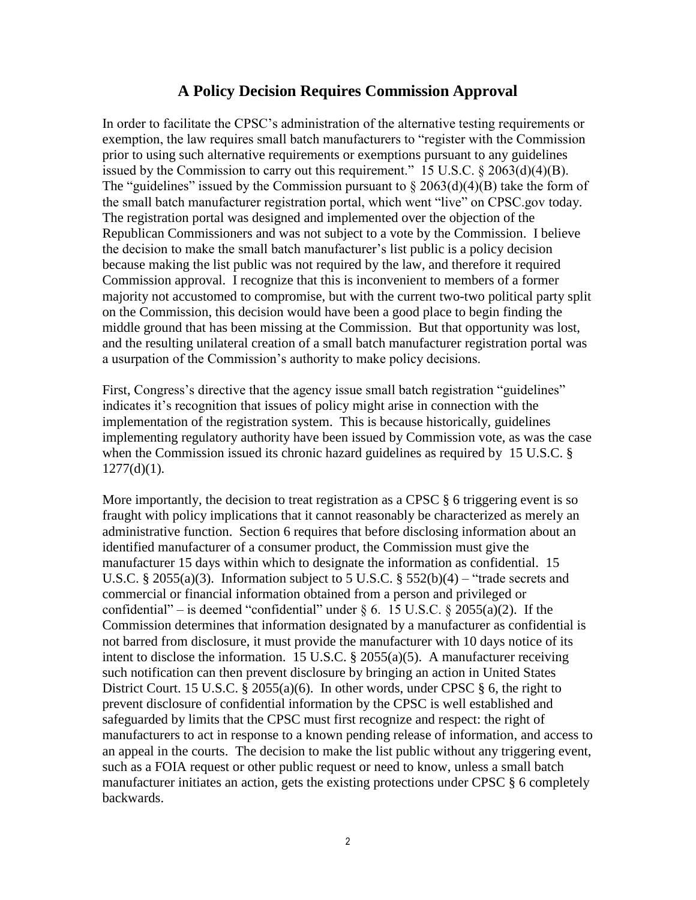## **A Policy Decision Requires Commission Approval**

In order to facilitate the CPSC's administration of the alternative testing requirements or exemption, the law requires small batch manufacturers to "register with the Commission prior to using such alternative requirements or exemptions pursuant to any guidelines issued by the Commission to carry out this requirement." 15 U.S.C. § 2063(d)(4)(B). The "guidelines" issued by the Commission pursuant to  $\S 2063(d)(4)(B)$  take the form of the small batch manufacturer registration portal, which went "live" on CPSC.gov today. The registration portal was designed and implemented over the objection of the Republican Commissioners and was not subject to a vote by the Commission. I believe the decision to make the small batch manufacturer's list public is a policy decision because making the list public was not required by the law, and therefore it required Commission approval. I recognize that this is inconvenient to members of a former majority not accustomed to compromise, but with the current two-two political party split on the Commission, this decision would have been a good place to begin finding the middle ground that has been missing at the Commission. But that opportunity was lost, and the resulting unilateral creation of a small batch manufacturer registration portal was a usurpation of the Commission's authority to make policy decisions.

First, Congress's directive that the agency issue small batch registration "guidelines" indicates it's recognition that issues of policy might arise in connection with the implementation of the registration system. This is because historically, guidelines implementing regulatory authority have been issued by Commission vote, as was the case when the Commission issued its chronic hazard guidelines as required by 15 U.S.C. §  $1277(d)(1)$ .

More importantly, the decision to treat registration as a CPSC § 6 triggering event is so fraught with policy implications that it cannot reasonably be characterized as merely an administrative function. Section 6 requires that before disclosing information about an identified manufacturer of a consumer product, the Commission must give the manufacturer 15 days within which to designate the information as confidential. 15 U.S.C. § 2055(a)(3). Information subject to 5 U.S.C. § 552(b)(4) – "trade secrets and commercial or financial information obtained from a person and privileged or confidential" – is deemed "confidential" under  $\S 6$ . 15 U.S.C.  $\S 2055(a)(2)$ . If the Commission determines that information designated by a manufacturer as confidential is not barred from disclosure, it must provide the manufacturer with 10 days notice of its intent to disclose the information. 15 U.S.C. § 2055(a)(5). A manufacturer receiving such notification can then prevent disclosure by bringing an action in United States District Court. 15 U.S.C. § 2055(a)(6). In other words, under CPSC § 6, the right to prevent disclosure of confidential information by the CPSC is well established and safeguarded by limits that the CPSC must first recognize and respect: the right of manufacturers to act in response to a known pending release of information, and access to an appeal in the courts. The decision to make the list public without any triggering event, such as a FOIA request or other public request or need to know, unless a small batch manufacturer initiates an action, gets the existing protections under CPSC § 6 completely backwards.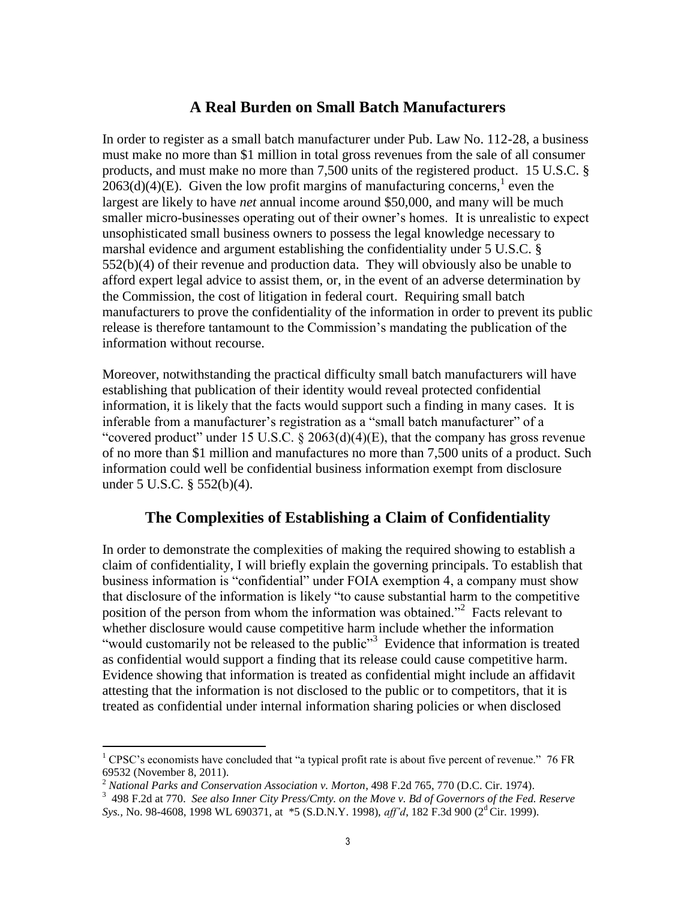# **A Real Burden on Small Batch Manufacturers**

In order to register as a small batch manufacturer under Pub. Law No. 112-28, a business must make no more than \$1 million in total gross revenues from the sale of all consumer products, and must make no more than 7,500 units of the registered product. 15 U.S.C. §  $2063(d)(4)$ (E). Given the low profit margins of manufacturing concerns,<sup>1</sup> even the largest are likely to have *net* annual income around \$50,000, and many will be much smaller micro-businesses operating out of their owner's homes. It is unrealistic to expect unsophisticated small business owners to possess the legal knowledge necessary to marshal evidence and argument establishing the confidentiality under 5 U.S.C. §  $552(b)(4)$  of their revenue and production data. They will obviously also be unable to afford expert legal advice to assist them, or, in the event of an adverse determination by the Commission, the cost of litigation in federal court. Requiring small batch manufacturers to prove the confidentiality of the information in order to prevent its public release is therefore tantamount to the Commission's mandating the publication of the information without recourse.

Moreover, notwithstanding the practical difficulty small batch manufacturers will have establishing that publication of their identity would reveal protected confidential information, it is likely that the facts would support such a finding in many cases. It is inferable from a manufacturer's registration as a "small batch manufacturer" of a "covered product" under 15 U.S.C.  $\S 2063(d)(4)(E)$ , that the company has gross revenue of no more than \$1 million and manufactures no more than 7,500 units of a product. Such information could well be confidential business information exempt from disclosure under 5 U.S.C. § 552(b)(4).

### **The Complexities of Establishing a Claim of Confidentiality**

In order to demonstrate the complexities of making the required showing to establish a claim of confidentiality, I will briefly explain the governing principals. To establish that business information is "confidential" under FOIA exemption 4, a company must show that disclosure of the information is likely "to cause substantial harm to the competitive position of the person from whom the information was obtained."<sup>2</sup> Facts relevant to whether disclosure would cause competitive harm include whether the information "would customarily not be released to the public"<sup>3</sup> Evidence that information is treated as confidential would support a finding that its release could cause competitive harm. Evidence showing that information is treated as confidential might include an affidavit attesting that the information is not disclosed to the public or to competitors, that it is treated as confidential under internal information sharing policies or when disclosed

 $\overline{a}$ 

 $1$  CPSC's economists have concluded that "a typical profit rate is about five percent of revenue." 76 FR 69532 (November 8, 2011).

<sup>2</sup> *National Parks and Conservation Association v. Morton*, 498 F.2d 765, 770 (D.C. Cir. 1974).

<sup>3</sup> 498 F.2d at 770. *See also Inner City Press/Cmty. on the Move v. Bd of Governors of the Fed. Reserve Sys., No.* 98-4608, 1998 WL 690371, at \*5 (S.D.N.Y. 1998), *aff'd*, 182 F.3d 900 (2<sup>d</sup> Cir. 1999).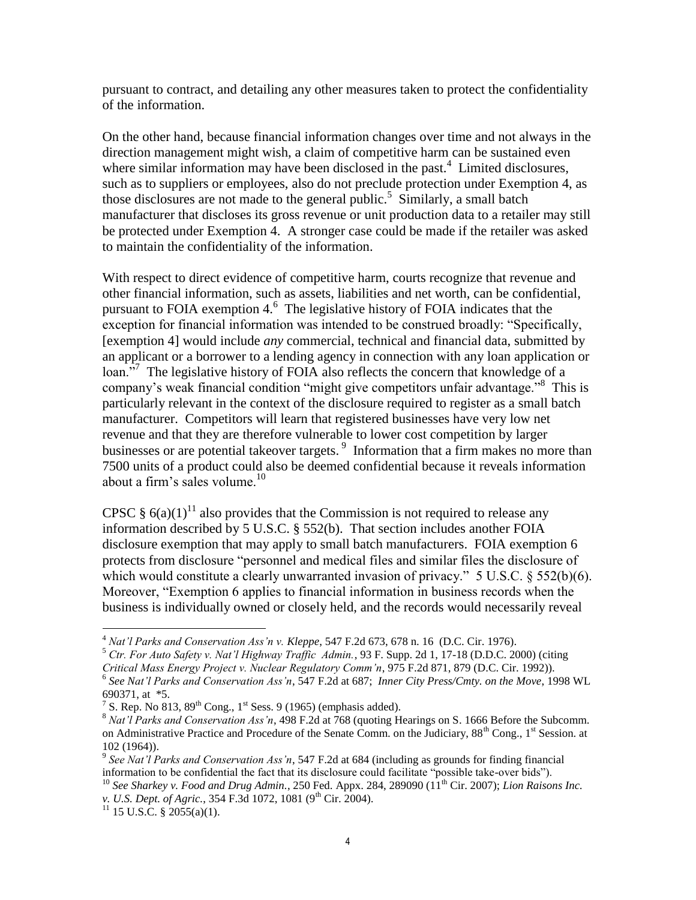pursuant to contract, and detailing any other measures taken to protect the confidentiality of the information.

On the other hand, because financial information changes over time and not always in the direction management might wish, a claim of competitive harm can be sustained even where similar information may have been disclosed in the past. $4$  Limited disclosures, such as to suppliers or employees, also do not preclude protection under Exemption 4, as those disclosures are not made to the general public.<sup>5</sup> Similarly, a small batch manufacturer that discloses its gross revenue or unit production data to a retailer may still be protected under Exemption 4. A stronger case could be made if the retailer was asked to maintain the confidentiality of the information.

With respect to direct evidence of competitive harm, courts recognize that revenue and other financial information, such as assets, liabilities and net worth, can be confidential, pursuant to FOIA exemption  $4<sup>6</sup>$ . The legislative history of FOIA indicates that the exception for financial information was intended to be construed broadly: "Specifically, [exemption 4] would include *any* commercial, technical and financial data, submitted by an applicant or a borrower to a lending agency in connection with any loan application or loan."<sup>7</sup> The legislative history of FOIA also reflects the concern that knowledge of a company's weak financial condition "might give competitors unfair advantage."<sup>8</sup> This is particularly relevant in the context of the disclosure required to register as a small batch manufacturer. Competitors will learn that registered businesses have very low net revenue and that they are therefore vulnerable to lower cost competition by larger businesses or are potential takeover targets.<sup>9</sup> Information that a firm makes no more than 7500 units of a product could also be deemed confidential because it reveals information about a firm's sales volume. $10$ 

CPSC §  $6(a)(1)^{11}$  also provides that the Commission is not required to release any information described by 5 U.S.C. § 552(b). That section includes another FOIA disclosure exemption that may apply to small batch manufacturers. FOIA exemption 6 protects from disclosure "personnel and medical files and similar files the disclosure of which would constitute a clearly unwarranted invasion of privacy." 5 U.S.C. § 552(b)(6). Moreover, "Exemption 6 applies to financial information in business records when the business is individually owned or closely held, and the records would necessarily reveal

<sup>5</sup> *Ctr. For Auto Safety v. Nat'l Highway Traffic Admin.*, 93 F. Supp. 2d 1, 17-18 (D.D.C. 2000) (citing

 $\overline{a}$ 

<sup>4</sup> *Nat'l Parks and Conservation Ass'n v. Kleppe*, 547 F.2d 673, 678 n. 16 (D.C. Cir. 1976).

*Critical Mass Energy Project v. Nuclear Regulatory Comm'n*, 975 F.2d 871, 879 (D.C. Cir. 1992)).

<sup>6</sup> *See Nat'l Parks and Conservation Ass'n*, 547 F.2d at 687; *Inner City Press/Cmty. on the Move*, 1998 WL 690371, at \*5.

<sup>&</sup>lt;sup>7</sup> S. Rep. No 813, 89<sup>th</sup> Cong., 1<sup>st</sup> Sess. 9 (1965) (emphasis added).

<sup>8</sup> *Nat'l Parks and Conservation Ass'n*, 498 F.2d at 768 (quoting Hearings on S. 1666 Before the Subcomm. on Administrative Practice and Procedure of the Senate Comm. on the Judiciary, 88<sup>th</sup> Cong., 1<sup>st</sup> Session. at 102 (1964)).

<sup>9</sup> *See Nat'l Parks and Conservation Ass'n*, 547 F.2d at 684 (including as grounds for finding financial information to be confidential the fact that its disclosure could facilitate "possible take-over bids").

<sup>&</sup>lt;sup>10</sup> See Sharkey v. Food and Drug Admin., 250 Fed. Appx. 284, 289090 (11<sup>th</sup> Cir. 2007); *Lion Raisons Inc. v. U.S. Dept. of Agric.*, 354 F.3d 1072, 1081 (9<sup>th</sup> Cir. 2004).

 $11$  15 U.S.C. § 2055(a)(1).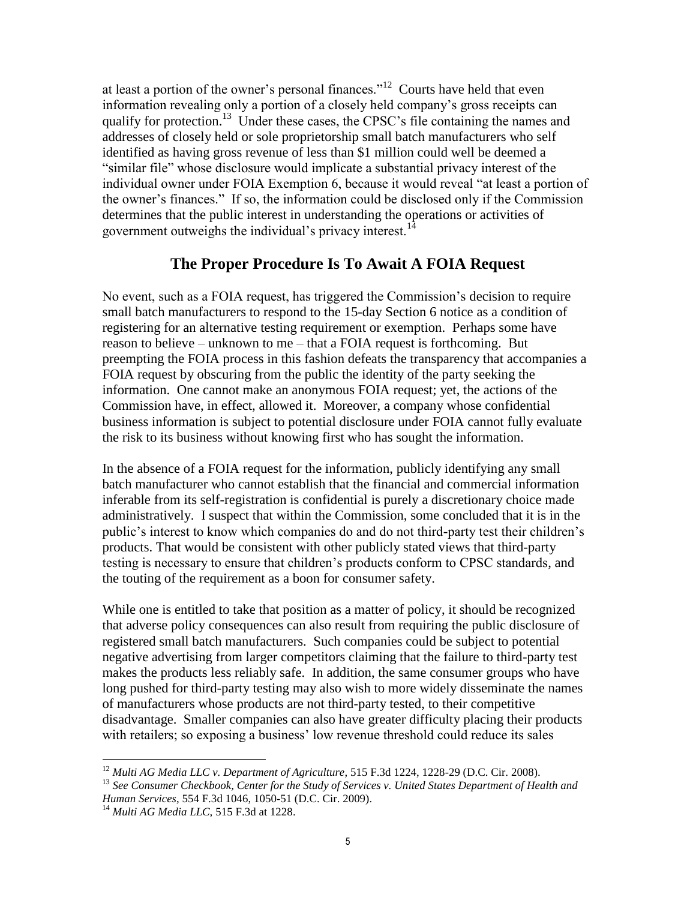at least a portion of the owner's personal finances."<sup>12</sup> Courts have held that even information revealing only a portion of a closely held company's gross receipts can qualify for protection.<sup>13</sup> Under these cases, the CPSC's file containing the names and addresses of closely held or sole proprietorship small batch manufacturers who self identified as having gross revenue of less than \$1 million could well be deemed a "similar file" whose disclosure would implicate a substantial privacy interest of the individual owner under FOIA Exemption 6, because it would reveal "at least a portion of the owner's finances." If so, the information could be disclosed only if the Commission determines that the public interest in understanding the operations or activities of government outweighs the individual's privacy interest.<sup>14</sup>

# **The Proper Procedure Is To Await A FOIA Request**

No event, such as a FOIA request, has triggered the Commission's decision to require small batch manufacturers to respond to the 15-day Section 6 notice as a condition of registering for an alternative testing requirement or exemption. Perhaps some have reason to believe – unknown to me – that a FOIA request is forthcoming. But preempting the FOIA process in this fashion defeats the transparency that accompanies a FOIA request by obscuring from the public the identity of the party seeking the information. One cannot make an anonymous FOIA request; yet, the actions of the Commission have, in effect, allowed it. Moreover, a company whose confidential business information is subject to potential disclosure under FOIA cannot fully evaluate the risk to its business without knowing first who has sought the information.

In the absence of a FOIA request for the information, publicly identifying any small batch manufacturer who cannot establish that the financial and commercial information inferable from its self-registration is confidential is purely a discretionary choice made administratively. I suspect that within the Commission, some concluded that it is in the public's interest to know which companies do and do not third-party test their children's products. That would be consistent with other publicly stated views that third-party testing is necessary to ensure that children's products conform to CPSC standards, and the touting of the requirement as a boon for consumer safety.

While one is entitled to take that position as a matter of policy, it should be recognized that adverse policy consequences can also result from requiring the public disclosure of registered small batch manufacturers. Such companies could be subject to potential negative advertising from larger competitors claiming that the failure to third-party test makes the products less reliably safe. In addition, the same consumer groups who have long pushed for third-party testing may also wish to more widely disseminate the names of manufacturers whose products are not third-party tested, to their competitive disadvantage. Smaller companies can also have greater difficulty placing their products with retailers; so exposing a business' low revenue threshold could reduce its sales

 $\overline{a}$ 

<sup>12</sup> *Multi AG Media LLC v. Department of Agriculture*, 515 F.3d 1224, 1228-29 (D.C. Cir. 2008).

<sup>13</sup> *See Consumer Checkbook, Center for the Study of Services v. United States Department of Health and Human Services*, 554 F.3d 1046, 1050-51 (D.C. Cir. 2009).

<sup>14</sup> *Multi AG Media LLC,* 515 F.3d at 1228.